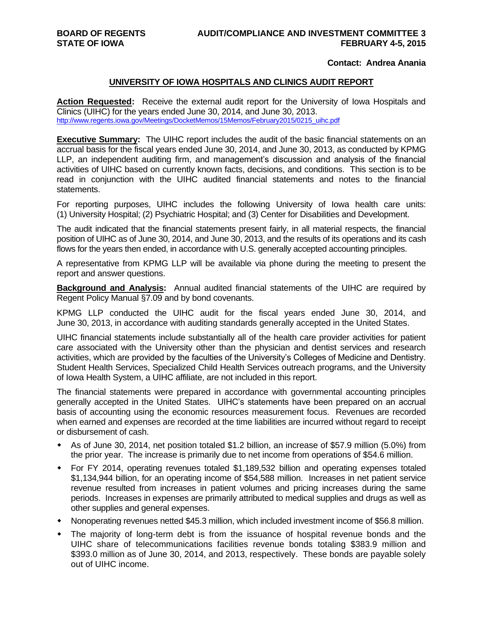## **Contact: Andrea Anania**

## **UNIVERSITY OF IOWA HOSPITALS AND CLINICS AUDIT REPORT**

**Action Requested:** Receive the external audit report for the University of Iowa Hospitals and Clinics (UIHC) for the years ended June 30, 2014, and June 30, 2013. [http://www.regents.iowa.gov/Meetings/DocketMemos/15Memos/February2015/0215\\_uihc.pdf](http://www.regents.iowa.gov/Meetings/DocketMemos/15Memos/February2015/0215_uihc.pdf)

**Executive Summary:** The UIHC report includes the audit of the basic financial statements on an accrual basis for the fiscal years ended June 30, 2014, and June 30, 2013, as conducted by KPMG LLP, an independent auditing firm, and management's discussion and analysis of the financial activities of UIHC based on currently known facts, decisions, and conditions. This section is to be read in conjunction with the UIHC audited financial statements and notes to the financial statements.

For reporting purposes, UIHC includes the following University of Iowa health care units: (1) University Hospital; (2) Psychiatric Hospital; and (3) Center for Disabilities and Development.

The audit indicated that the financial statements present fairly, in all material respects, the financial position of UIHC as of June 30, 2014, and June 30, 2013, and the results of its operations and its cash flows for the years then ended, in accordance with U.S. generally accepted accounting principles.

A representative from KPMG LLP will be available via phone during the meeting to present the report and answer questions.

**Background and Analysis:** Annual audited financial statements of the UIHC are required by Regent Policy Manual §7.09 and by bond covenants.

KPMG LLP conducted the UIHC audit for the fiscal years ended June 30, 2014, and June 30, 2013, in accordance with auditing standards generally accepted in the United States.

UIHC financial statements include substantially all of the health care provider activities for patient care associated with the University other than the physician and dentist services and research activities, which are provided by the faculties of the University's Colleges of Medicine and Dentistry. Student Health Services, Specialized Child Health Services outreach programs, and the University of Iowa Health System, a UIHC affiliate, are not included in this report.

The financial statements were prepared in accordance with governmental accounting principles generally accepted in the United States. UIHC's statements have been prepared on an accrual basis of accounting using the economic resources measurement focus. Revenues are recorded when earned and expenses are recorded at the time liabilities are incurred without regard to receipt or disbursement of cash.

- As of June 30, 2014, net position totaled \$1.2 billion, an increase of \$57.9 million (5.0%) from the prior year. The increase is primarily due to net income from operations of \$54.6 million.
- For FY 2014, operating revenues totaled \$1,189,532 billion and operating expenses totaled \$1,134,944 billion, for an operating income of \$54,588 million. Increases in net patient service revenue resulted from increases in patient volumes and pricing increases during the same periods. Increases in expenses are primarily attributed to medical supplies and drugs as well as other supplies and general expenses.
- Nonoperating revenues netted \$45.3 million, which included investment income of \$56.8 million.
- The majority of long-term debt is from the issuance of hospital revenue bonds and the UIHC share of telecommunications facilities revenue bonds totaling \$383.9 million and \$393.0 million as of June 30, 2014, and 2013, respectively. These bonds are payable solely out of UIHC income.